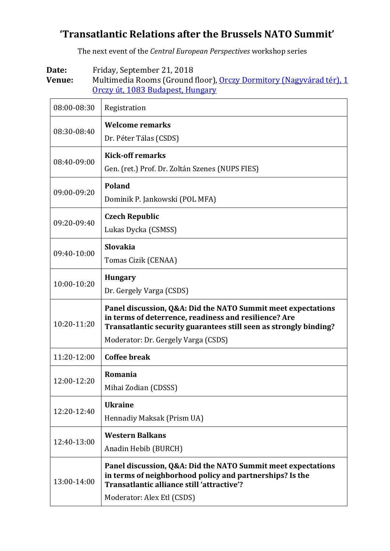## **'Transatlantic Relations after the Brussels NATO Summit'**

The next event of the *Central European Perspectives* workshop series

**Date:** Friday, September 21, 2018

Venue: Multimedia Rooms (Ground floor), [Orczy Dormitory \(Nagyvárad tér\)](https://www.google.hu/maps/place/Nemzeti+K%C3%B6zszolg%C3%A1lati+Egyetem+Orczy+%C3%9Ati+Koll%C3%A9gium/@47.4796082,19.0885234,18.75z/data=!4m13!1m7!3m6!1s0x4741dce5e7c50f55:0x99a710fa0c2d956a!2sBudapest,+Orczy+%C3%BAt+1,+1089!3b1!8m2!3d47.4818577!4d19.0879941!3m4!1s0x4741dce5d67d27e3:0x35bcfe5ad94d3aeb!8m2!3d47.4799634!4d19.089822?hl=en), 1 Orczy út, 1083 [Budapest, Hungary](https://www.google.hu/maps/place/Nemzeti+K%C3%B6zszolg%C3%A1lati+Egyetem+Orczy+%C3%9Ati+Koll%C3%A9gium/@47.4796082,19.0885234,18.75z/data=!4m13!1m7!3m6!1s0x4741dce5e7c50f55:0x99a710fa0c2d956a!2sBudapest,+Orczy+%C3%BAt+1,+1089!3b1!8m2!3d47.4818577!4d19.0879941!3m4!1s0x4741dce5d67d27e3:0x35bcfe5ad94d3aeb!8m2!3d47.4799634!4d19.089822?hl=en)

| 08:00-08:30 | Registration                                                                                                                                                                                                                      |
|-------------|-----------------------------------------------------------------------------------------------------------------------------------------------------------------------------------------------------------------------------------|
| 08:30-08:40 | <b>Welcome remarks</b><br>Dr. Péter Tálas (CSDS)                                                                                                                                                                                  |
| 08:40-09:00 | <b>Kick-off remarks</b><br>Gen. (ret.) Prof. Dr. Zoltán Szenes (NUPS FIES)                                                                                                                                                        |
| 09:00-09:20 | Poland<br>Dominik P. Jankowski (POL MFA)                                                                                                                                                                                          |
| 09:20-09:40 | <b>Czech Republic</b><br>Lukas Dycka (CSMSS)                                                                                                                                                                                      |
| 09:40-10:00 | <b>Slovakia</b><br>Tomas Cizik (CENAA)                                                                                                                                                                                            |
| 10:00-10:20 | <b>Hungary</b><br>Dr. Gergely Varga (CSDS)                                                                                                                                                                                        |
| 10:20-11:20 | Panel discussion, Q&A: Did the NATO Summit meet expectations<br>in terms of deterrence, readiness and resilience? Are<br>Transatlantic security guarantees still seen as strongly binding?<br>Moderator: Dr. Gergely Varga (CSDS) |
| 11:20-12:00 | <b>Coffee break</b>                                                                                                                                                                                                               |
| 12:00-12:20 | Romania<br>Mihai Zodian (CDSSS)                                                                                                                                                                                                   |
| 12:20-12:40 | <b>Ukraine</b><br>Hennadiy Maksak (Prism UA)                                                                                                                                                                                      |
|             |                                                                                                                                                                                                                                   |
| 12:40-13:00 | <b>Western Balkans</b><br>Anadin Hebib (BURCH)                                                                                                                                                                                    |